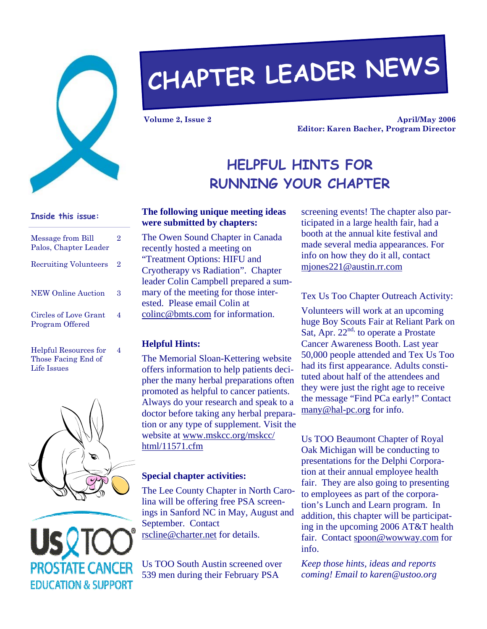

# **CHAPTER LEADER NEWS**

**Volume 2, Issue 2** 

**April/May 2006 Editor: Karen Bacher, Program Director** 

## **HELPFUL HINTS FOR RUNNING YOUR CHAPTER**

## **Inside this issue:**

| Message from Bill<br>Palos, Chapter Leader | 2 |
|--------------------------------------------|---|
| <b>Recruiting Volunteers</b>               | 2 |
| <b>NEW Online Auction</b>                  | З |
| Circles of Love Grant<br>Program Offered   | 4 |
| <b>Helpful Resources for</b>               |   |

Those Facing End of Life Issues



## **PROSTATE CANCER EDUCATION & SUPPORT**

#### **The following unique meeting ideas were submitted by chapters:**

The Owen Sound Chapter in Canada recently hosted a meeting on "Treatment Options: HIFU and Cryotherapy vs Radiation". Chapter leader Colin Campbell prepared a summary of the meeting for those interested. Please email Colin at colinc@bmts.com for information.

#### **Helpful Hints:**

The Memorial Sloan-Kettering website offers information to help patients decipher the many herbal preparations often promoted as helpful to cancer patients. Always do your research and speak to a doctor before taking any herbal preparation or any type of supplement. Visit the website at www.mskcc.org/mskcc/ html/11571.cfm

#### **Special chapter activities:**

The Lee County Chapter in North Carolina will be offering free PSA screenings in Sanford NC in May, August and September. Contact rscline@charter.net for details.

Us TOO South Austin screened over 539 men during their February PSA

screening events! The chapter also participated in a large health fair, had a booth at the annual kite festival and made several media appearances. For info on how they do it all, contact mjones221@austin.rr.com

#### Tex Us Too Chapter Outreach Activity:

Volunteers will work at an upcoming huge Boy Scouts Fair at Reliant Park on Sat, Apr.  $22<sup>nd</sup>$  to operate a Prostate Cancer Awareness Booth. Last year 50,000 people attended and Tex Us Too had its first appearance. Adults constituted about half of the attendees and they were just the right age to receive the message "Find PCa early!" Contact many@hal-pc.org for info.

Us TOO Beaumont Chapter of Royal Oak Michigan will be conducting to presentations for the Delphi Corporation at their annual employee health fair. They are also going to presenting to employees as part of the corporation's Lunch and Learn program. In addition, this chapter will be participating in the upcoming 2006 AT&T health fair. Contact spoon@wowway.com for info.

*Keep those hints, ideas and reports coming! Email to karen@ustoo.org*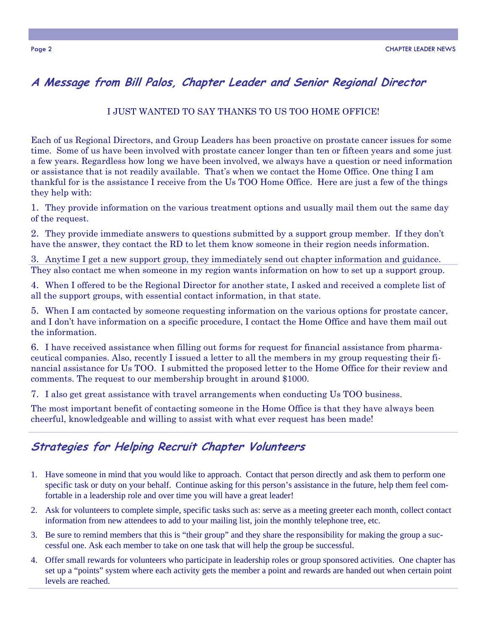## **A Message from Bill Palos, Chapter Leader and Senior Regional Director**

#### I JUST WANTED TO SAY THANKS TO US TOO HOME OFFICE!

Each of us Regional Directors, and Group Leaders has been proactive on prostate cancer issues for some time. Some of us have been involved with prostate cancer longer than ten or fifteen years and some just a few years. Regardless how long we have been involved, we always have a question or need information or assistance that is not readily available. That's when we contact the Home Office. One thing I am thankful for is the assistance I receive from the Us TOO Home Office. Here are just a few of the things they help with:

1. They provide information on the various treatment options and usually mail them out the same day of the request.

2. They provide immediate answers to questions submitted by a support group member. If they don't have the answer, they contact the RD to let them know someone in their region needs information.

3. Anytime I get a new support group, they immediately send out chapter information and guidance. They also contact me when someone in my region wants information on how to set up a support group.

4. When I offered to be the Regional Director for another state, I asked and received a complete list of all the support groups, with essential contact information, in that state.

5. When I am contacted by someone requesting information on the various options for prostate cancer, and I don't have information on a specific procedure, I contact the Home Office and have them mail out the information.

6. I have received assistance when filling out forms for request for financial assistance from pharmaceutical companies. Also, recently I issued a letter to all the members in my group requesting their financial assistance for Us TOO. I submitted the proposed letter to the Home Office for their review and comments. The request to our membership brought in around \$1000.

7. I also get great assistance with travel arrangements when conducting Us TOO business.

The most important benefit of contacting someone in the Home Office is that they have always been cheerful, knowledgeable and willing to assist with what ever request has been made!

## **Strategies for Helping Recruit Chapter Volunteers**

- 1. Have someone in mind that you would like to approach. Contact that person directly and ask them to perform one specific task or duty on your behalf. Continue asking for this person's assistance in the future, help them feel comfortable in a leadership role and over time you will have a great leader!
- 2. Ask for volunteers to complete simple, specific tasks such as: serve as a meeting greeter each month, collect contact information from new attendees to add to your mailing list, join the monthly telephone tree, etc.
- 3. Be sure to remind members that this is "their group" and they share the responsibility for making the group a successful one. Ask each member to take on one task that will help the group be successful.
- 4. Offer small rewards for volunteers who participate in leadership roles or group sponsored activities. One chapter has set up a "points" system where each activity gets the member a point and rewards are handed out when certain point levels are reached.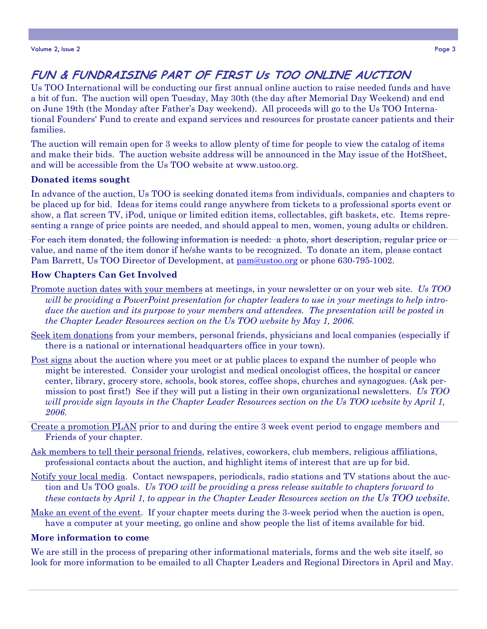## **FUN & FUNDRAISING PART OF FIRST Us TOO ONLINE AUCTION**

Us TOO International will be conducting our first annual online auction to raise needed funds and have a bit of fun. The auction will open Tuesday, May 30th (the day after Memorial Day Weekend) and end on June 19th (the Monday after Father's Day weekend). All proceeds will go to the Us TOO International Founders' Fund to create and expand services and resources for prostate cancer patients and their families.

The auction will remain open for 3 weeks to allow plenty of time for people to view the catalog of items and make their bids. The auction website address will be announced in the May issue of the HotSheet, and will be accessible from the Us TOO website at www.ustoo.org.

#### **Donated items sought**

In advance of the auction, Us TOO is seeking donated items from individuals, companies and chapters to be placed up for bid. Ideas for items could range anywhere from tickets to a professional sports event or show, a flat screen TV, iPod, unique or limited edition items, collectables, gift baskets, etc. Items representing a range of price points are needed, and should appeal to men, women, young adults or children.

For each item donated, the following information is needed: a photo, short description, regular price or value, and name of the item donor if he/she wants to be recognized. To donate an item, please contact Pam Barrett, Us TOO Director of Development, at pam@ustoo.org or phone 630-795-1002.

#### **How Chapters Can Get Involved**

- Promote auction dates with your members at meetings, in your newsletter or on your web site. *Us TOO will be providing a PowerPoint presentation for chapter leaders to use in your meetings to help introduce the auction and its purpose to your members and attendees. The presentation will be posted in the Chapter Leader Resources section on the Us TOO website by May 1, 2006.*
- Seek item donations from your members, personal friends, physicians and local companies (especially if there is a national or international headquarters office in your town).
- Post signs about the auction where you meet or at public places to expand the number of people who might be interested. Consider your urologist and medical oncologist offices, the hospital or cancer center, library, grocery store, schools, book stores, coffee shops, churches and synagogues. (Ask permission to post first!) See if they will put a listing in their own organizational newsletters. *Us TOO will provide sign layouts in the Chapter Leader Resources section on the Us TOO website by April 1, 2006.*
- Create a promotion PLAN prior to and during the entire 3 week event period to engage members and Friends of your chapter.
- Ask members to tell their personal friends, relatives, coworkers, club members, religious affiliations, professional contacts about the auction, and highlight items of interest that are up for bid.
- Notify your local media. Contact newspapers, periodicals, radio stations and TV stations about the auction and Us TOO goals. *Us TOO will be providing a press release suitable to chapters forward to these contacts by April 1, to appear in the Chapter Leader Resources section on the Us TOO website.*
- Make an event of the event. If your chapter meets during the 3-week period when the auction is open, have a computer at your meeting, go online and show people the list of items available for bid.

#### **More information to come**

We are still in the process of preparing other informational materials, forms and the web site itself, so look for more information to be emailed to all Chapter Leaders and Regional Directors in April and May.